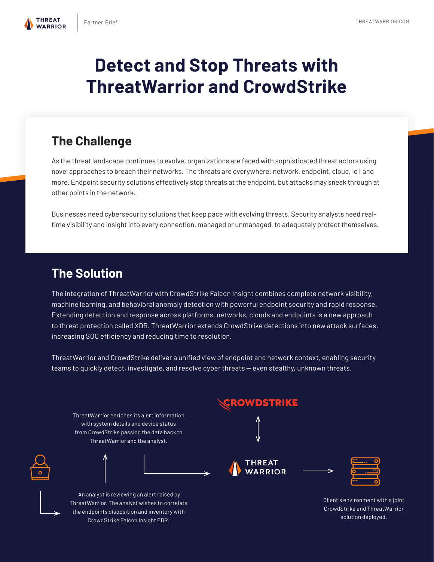

**THRFAT** 

# **Detect and Stop Threats with ThreatWarrior and CrowdStrike**

# **The Challenge**

As the threat landscape continues to evolve, organizations are faced with sophisticated threat actors using novel approaches to breach their networks. The threats are everywhere: network, endpoint, cloud, IoT and more. Endpoint security solutions effectively stop threats at the endpoint, but attacks may sneak through at other points in the network.

Businesses need cybersecurity solutions that keep pace with evolving threats. Security analysts need realtime visibility and insight into every connection, managed or unmanaged, to adequately protect themselves.

## **The Solution**

The integration of ThreatWarrior with CrowdStrike Falcon Insight combines complete network visibility, machine learning, and behavioral anomaly detection with powerful endpoint security and rapid response. Extending detection and response across platforms, networks, clouds and endpoints is a new approach to threat protection called XDR. ThreatWarrior extends CrowdStrike detections into new attack surfaces, increasing SOC efficiency and reducing time to resolution.

ThreatWarrior and CrowdStrike deliver a unifed view of endpoint and network context, enabling security teams to quickly detect, investigate, and resolve cyber threats - even stealthy, unknown threats.